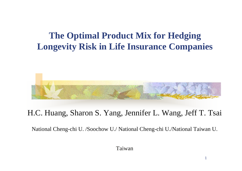#### **The Optimal Product Mix for Hedging Longevity Risk in Life Insurance Companies**

#### H.C. Huang, Sharon S. Yang, Jennifer L. Wang, Jeff T. Tsai

National Cheng-chi U. /Soochow U./ National Cheng-chi U./National Taiwan U.

Taiwan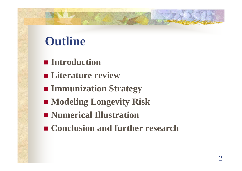### **Outline**

- **Introduction**
- **Literature review**
- **Immunization Strategy**
- Modeling Longevity Risk
- **Numerical Illustration**
- Conclusion and further research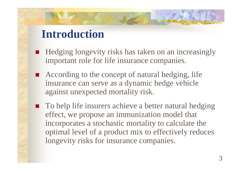### **Introduction**

- Hedging longevity risks has taken on an increasingly important role for life insurance companies.
- According to the concept of natural hedging, life insurance can serve as a dynamic hedge vehicle against unexpected mortality risk.
- To help life insurers achieve a better natural hedging effect, we propose an immunization model that incorporates a stochastic mortality to calculate the optimal level of a product mix to effectively reduces longevity risks for insurance companies.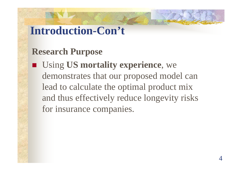### **Introduction-Con't**

#### **Research Purpose**

 Using **US mortality experience**, we demonstrates that our proposed model can lead to calculate the optimal product mix and thus effectively reduce longevity risks for insurance companies.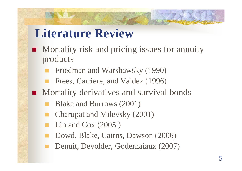### **Literature Review**

- **Mortality risk and pricing issues for annuity** products
	- Friedman and Warshawsky (1990)
	- Frees, Carriere, and Valdez (1996)
- **Mortality derivatives and survival bonds** 
	- Blake and Burrows (2001)
	- Charupat and Milevsky (2001)
	- Lin and Cox (2005 )
	- Dowd, Blake, Cairns, Dawson (2006)
	- Denuit, Devolder, Godernaiaux (2007)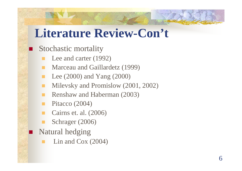### **Literature Review-Con't**

#### Stochastic mortality

- Lee and carter (1992)
- Marceau and Gaillardetz (1999)
- Lee (2000) and Yang (2000)
- Milevsky and Promislow (2001, 2002)
- **Renshaw and Haberman (2003)**
- Pitacco (2004)
- Cairns et. al. (2006)
- Schrager (2006)
- Natural hedging
	- Lin and Cox (2004)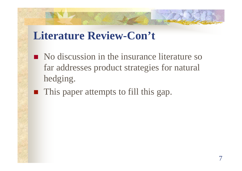### **Literature Review-Con't**

- No discussion in the insurance literature so far addresses product strategies for natural hedging.
- **This paper attempts to fill this gap.**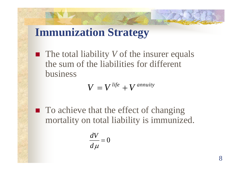### **Immunization Strategy**

 The total liability *V* of the insurer equals the sum of the liabilities for different business

$$
V = V^{life} + V^{annuity}
$$

■ To achieve that the effect of changing mortality on total liability is immunized.

$$
\frac{dV}{d\mu}=0
$$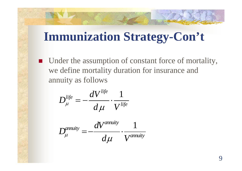■ Under the assumption of constant force of mortality, we define mortality duration for insurance and annuity as follows

$$
D_{\mu}^{life} = -\frac{dV^{life}}{d\mu} \cdot \frac{1}{V^{life}}
$$

$$
D_{\mu}^{annuity} = -\frac{dV^{annuity}}{d\mu} \cdot \frac{1}{V^{annuity}}
$$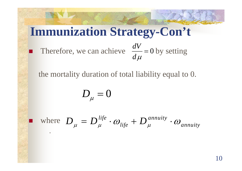Therefore, we can achieve  $\frac{dV}{dt} = 0$  by setting *d* μ =

the mortality duration of total liability equal to 0.

$$
D_{_\mu}=0
$$

**Service Service** 

.

**n** where  $D = D^{life} \cdot \omega_{bc} + D^{annuity}$  $\mu_{\mu} = D_{\mu}^{i \nu e} \cdot \omega_{\text{life}} + D_{\mu}^{annuity} \cdot \omega_{\text{annuity}}$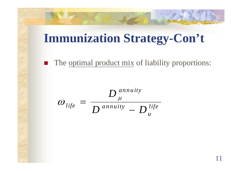$\blacksquare$ The optimal product mix of liability proportions:

$$
\omega_{\text{life}} = \frac{D_{\mu}^{\text{annuity}}}{D^{\text{annuity}} - D_{\mu}^{\text{ life}}}
$$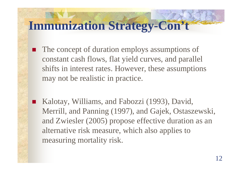- The concept of duration employs assumptions of constant cash flows, flat yield curves, and parallel shifts in interest rates. However, these assumptions may not be realistic in practice.
- Kalotay, Williams, and Fabozzi (1993), David, Merrill, and Panning (1997), and Gajek, Ostaszewski, and Zwiesler (2005) propose effective duration as an alternative risk measure, which also applies to measuring mortality risk.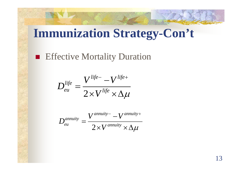#### **Effective Mortality Duration**

$$
D_{eu}^{life} = \frac{V^{life -} - V^{life +}}{2 \times V^{life} \times \Delta \mu}
$$

$$
D_{eu}^{annuity} = \frac{V^{annuity - } - V^{annuity +}}{2 \times V^{annuity} \times \Delta \mu}
$$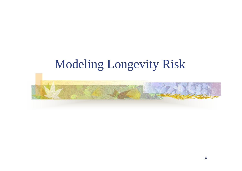### Modeling Longevity Risk

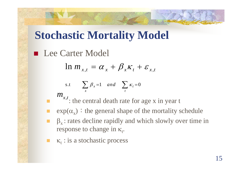### **Stochastic Mortality Model**

■ Lee Carter Model

$$
\ln m_{x,t} = \alpha_x + \beta_x \kappa_t + \varepsilon_{x,t}
$$

$$
\text{s.t} \qquad \sum_{x} \beta_x = 1 \quad \text{and} \quad \sum_{t} \kappa_t = 0
$$

 $m_{_{\chi,t}}$ 

 $\blacksquare$   $\ldots$  : the central death rate for age x in year t

- Г **E** exp( $\alpha_{x}$ ): the general shape of the mortality schedule
- Г  $\beta_{x}$ : rates decline rapidly and which slowly over time in response to change in  $\kappa_t$ .
- κ<sub>t</sub> : is a stochastic process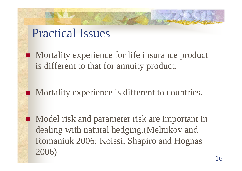### Practical Issues

 $\mathcal{L}(\mathcal{L})$ 

**Mortality experience for life insurance product** is different to that for annuity product.

**Mortality experience is different to countries.** 

 Model risk and parameter risk are important in dealing with natural hedging.(Melnikov and Romaniuk 2006; Koissi, Shapiro and Hognas 2006)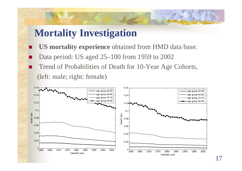#### **Mortality Investigation**

 $\overline{\phantom{a}}$  **US mortality experience** obtained from HMD data base.  $\overline{\phantom{a}}$  Data period: US aged 25–100 from 1959 to 2002  $\overline{\phantom{a}}$  Trend of Probabilities of Death for 10-Year Age Cohorts, (left: male; right: female)

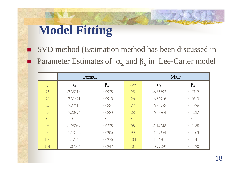# **Model Fitting**

 SVD method (Estimation method has been discussed in **Parameter Estimates of**  $\alpha_x$  **and**  $\beta_x$  **in Lee-Carter model** 

|     | Female           |             |                        | Male             |             |
|-----|------------------|-------------|------------------------|------------------|-------------|
| age | $\alpha_{\rm x}$ | $\beta_{x}$ | age                    | $\alpha_{\rm x}$ | $\beta_{x}$ |
| 25  | $-7.35118$       | 0.00938     | 25                     | $-6.36892$       | 0.00712     |
| 26  | $-7.31421$       | 0.00910     | 26                     | $-6.36916$       | 0.00613     |
| 27  | $-7.27519$       | 0.00881     | 27                     | $-6.35958$       | 0.00576     |
| 28  | $-7.20874$       | 0.00883     | 28                     | $-6.32864$       | 0.00532     |
|     |                  |             | $\bullet$<br>$\bullet$ |                  |             |
| 98  | $-1.25084$       | 0.00338     | 98                     | $-1.14248$       | 0.00188     |
| 99  | $-1.18752$       | 0.00306     | 99                     | $-1.09254$       | 0.00163     |
| 100 | $-1.12742$       | 0.00276     | 100                    | $-1.04501$       | 0.00141     |
| 101 | $-1.07054$       | 0.00247     | 101                    | $-0.99989$       | 0.00120     |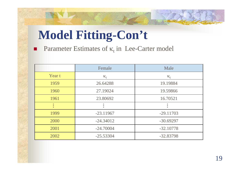# **Model Fitting-Con't**

**Parameter Estimates of**  $\kappa_t$  **in Lee-Carter model** 

|        | Female      | Male        |
|--------|-------------|-------------|
| Year t | $K_f$       | $K_f$       |
| 1959   | 26.64288    | 19.19884    |
| 1960   | 27.19024    | 19.59866    |
| 1961   | 23.80692    | 16.70521    |
|        |             |             |
| 1999   | $-23.11967$ | $-29.11703$ |
| 2000   | $-24.34012$ | $-30.69297$ |
| 2001   | $-24.70004$ | $-32.10778$ |
| 2002   | $-25.53304$ | $-32.83798$ |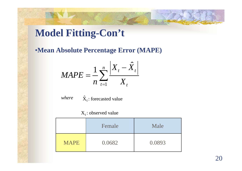### **Model Fitting-Con't**

•**Mean Absolute Percentage Error (MAPE)**

$$
MAPE = \frac{1}{n} \sum_{t=1}^{n} \frac{\left| X_t - \hat{X}_t \right|}{X_t}
$$

 $\hat{\text{X}}_{\text{t}}$  : forecasted value where

#### $X_t$ : observed value

|             | Female | Male   |
|-------------|--------|--------|
| <b>MAPE</b> | 0.0682 | 0.0893 |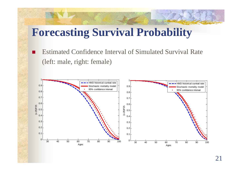### **Forecasting Survival Probability**

a s Estimated Confidence Interval of Simulated Survival Rate (left: male, right: female)

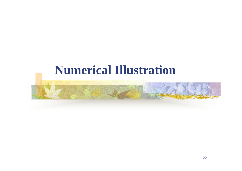### **Numerical Illustration**

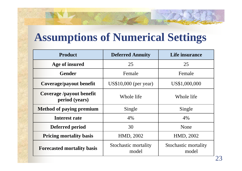### **Assumptions of Numerical Settings**

| <b>Product</b>                             | <b>Deferred Annuity</b>       | Life insurance                |
|--------------------------------------------|-------------------------------|-------------------------------|
| Age of insured                             | 25                            | 25                            |
| <b>Gender</b>                              | Female                        | Female                        |
| Coverage/payout benefit                    | $US$10,000$ (per year)        | US\$1,000,000                 |
| Coverage /payout benefit<br>period (years) | Whole life                    | Whole life                    |
| <b>Method of paying premium</b>            | Single                        | Single                        |
| Interest rate                              | 4%                            | 4%                            |
| Deferred period                            | 30                            | None                          |
| <b>Pricing mortality basis</b>             | HMD, 2002                     | HMD, 2002                     |
| <b>Forecasted mortality basis</b>          | Stochastic mortality<br>model | Stochastic mortality<br>model |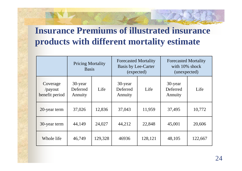#### **Insurance Premiums of illustrated insurance products with different mortality estimate**

|                                               | <b>Pricing Mortality</b><br><b>Basis</b> |         | <b>Forecasted Mortality</b><br><b>Basis by Lee-Carter</b><br>(expected) |         | <b>Forecasted Mortality</b><br>with 10% shock<br>(unexpected) |         |
|-----------------------------------------------|------------------------------------------|---------|-------------------------------------------------------------------------|---------|---------------------------------------------------------------|---------|
| Coverage<br>$\gamma$ payout<br>benefit period | 30-year<br>Deferred<br>Annuity           | Life    | 30-year<br>Deferred<br>Annuity                                          | Life    | 30-year<br>Deferred<br>Annuity                                | Life    |
| 20-year term                                  | 37,026                                   | 12,836  | 37,043                                                                  | 11,959  | 37,495                                                        | 10,772  |
| 30-year term                                  | 44,149                                   | 24,027  | 44,212                                                                  | 22,848  | 45,001                                                        | 20,606  |
| Whole life                                    | 46,749                                   | 129,328 | 46936                                                                   | 128,121 | 48,105                                                        | 122,667 |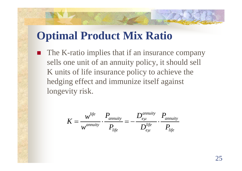### **Optimal Product Mix Ratio**

■ The K-ratio implies that if an insurance company sells one unit of an annuity policy, it should sell K units of life insurance policy to achieve the hedging effect and immunize itself against longevity risk.

$$
K = \frac{w^{life}}{w^{annuity}} \cdot \frac{P_{annuity}}{P_{life}} = -\frac{D_{e\mu}^{annuity}}{D_{e\mu}^{life}} \cdot \frac{P_{annuity}}{P_{life}}
$$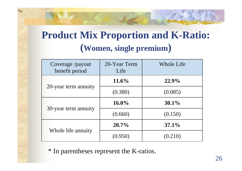### **Product Mix Proportion and K-Ratio: (Women, single premium )**

| Coverage /payout<br>benefit period | 20-Year Term<br>Life | <b>Whole Life</b> |
|------------------------------------|----------------------|-------------------|
|                                    | $11.6\%$             | 22.9%             |
| 20-year term annuity               | (0.380)              | (0.085)           |
|                                    | $16.0\%$             | $30.1\%$          |
| 30-year term annuity               | (0.660)              | (0.150)           |
|                                    | $20.7\%$             | $37.1\%$          |
| Whole life annuity                 | (0.950)              | (0.210)           |

\* In parentheses represent the K-ratios.

<sup>ω</sup>*life*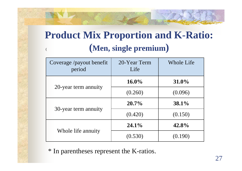### **Product Mix Proportion and K-Ratio:**  ( **(Men, single premium )**

| Coverage /payout benefit<br>period | 20-Year Term<br>Life | <b>Whole Life</b> |
|------------------------------------|----------------------|-------------------|
|                                    | $16.0\%$             | $31.0\%$          |
| 20-year term annuity               | (0.260)              | (0.096)           |
|                                    | $20.7\%$             | 38.1%             |
| 30-year term annuity               | (0.420)              | (0.150)           |
|                                    | $24.1\%$             | 42.8%             |
| Whole life annuity                 | (0.530)              | (0.190)           |

\* In parentheses represent the K-ratios.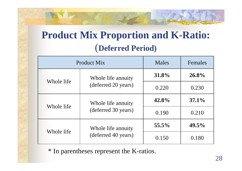### **Product Mix Proportion and K-Ratio:**  (**Deferred Period)**

|            | <b>Product Mix</b>                | <b>Males</b> | Females  |
|------------|-----------------------------------|--------------|----------|
|            | Whole life annuity                | 31.8%        | 26.8%    |
|            | Whole life<br>(deferred 20 years) |              | 0.230    |
| Whole life | Whole life annuity                | 42.8%        | $37.1\%$ |
|            | (deferred 30 years)               | 0.190        | 0.210    |
|            | Whole life annuity                | $55.5\%$     | $49.5\%$ |
| Whole life | (deferred 40 years)               | 0.150        | 0.180    |

\* In parentheses represent the K-ratios.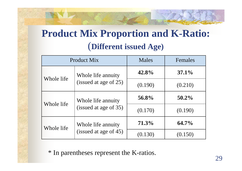### **Product Mix Proportion and K-Ratio:**  (**Different issued Age)**

| <b>Product Mix</b> |                                             | <b>Males</b> | Females  |
|--------------------|---------------------------------------------|--------------|----------|
|                    | Whole life annuity                          | 42.8%        | $37.1\%$ |
| Whole life         | (issued at age of 25)                       | (0.190)      | (0.210)  |
| Whole life         | Whole life annuity<br>(issued at age of 35) | 56.8%        | $50.2\%$ |
|                    |                                             | (0.170)      | (0.190)  |
| Whole life         | Whole life annuity<br>(issued at age of 45) | 71.3%        | $64.7\%$ |
|                    |                                             | (0.130)      | (0.150)  |

\* In parentheses represent the K-ratios.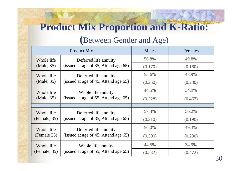### **Product Mix Proportion and K-Ratio:**

#### **(**Between Gender and Age)

|                                                      | <b>Product Mix</b>                                            | <b>Males</b> | Females |
|------------------------------------------------------|---------------------------------------------------------------|--------------|---------|
| Whole life                                           | Deferred life annuity                                         | 56.8%        | 49.8%   |
| (Male, 35)                                           | (issued at age of 35, Attend age 65)                          | (0.170)      | (0.160) |
| Whole life                                           | Deferred life annuity                                         | 55.6%        | 48.9%   |
| (Male, 35)                                           | (issued at age of 45, Attend age 65)                          | (0.250)      | (0.230) |
| Whole life                                           | Whole life annuity                                            | 44.5%        | 34.9%   |
| (Male, 35)                                           | (issued at age of 55, Attend age 65)                          | (0.528)      | (0.467) |
|                                                      |                                                               |              |         |
| Whole life                                           | Deferred life annuity                                         | 57.3%        | 50.2%   |
| (Female, 35)                                         | (issued at age of 35, Attend age 65)                          | (0.210)      | (0.190) |
| Whole life                                           | Deferred life annuity<br>(issued at age of 45, Attend age 65) | 56.0%        | 49.3%   |
| (Female 35)                                          |                                                               | (0.300)      | (0.280) |
| Whole life                                           | Whole life annuity                                            | 44.5%        | 34.9%   |
| (issued at age of 55, Attend age 65)<br>(Female, 35) |                                                               | (0.532)      | (0.472) |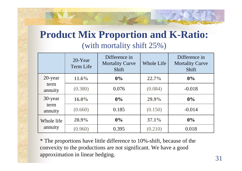#### **Product Mix Proportion and K-Ratio:**  (with mortality shift 25%)

|                            | $20$ -Year<br>Term Life | Difference in<br><b>Mortality Curve</b><br><b>Shift</b> | <b>Whole Life</b> | Difference in<br><b>Mortality Curve</b><br>Shift |
|----------------------------|-------------------------|---------------------------------------------------------|-------------------|--------------------------------------------------|
| 20-year                    | 11.6%                   | $0\%$                                                   | $22.7\%$          | $0\%$                                            |
| term<br>annuity            | (0.380)                 | 0.076                                                   | (0.084)           | $-0.018$                                         |
| 30-year<br>term<br>annuity | $16.0\%$                | $0\%$                                                   | 29.9%             | $0\%$                                            |
|                            | (0.660)                 | 0.185                                                   | (0.150)           | $-0.014$                                         |
| Whole life<br>annuity      | 20.9%                   | $0\%$                                                   | $37.1\%$          | $0\%$                                            |
|                            | (0.960)                 | 0.395                                                   | (0.210)           | 0.018                                            |

\* The p roportions have little difference to 10%-shift, because of the convexity to the productions are not significant. We have a good approximation in linear hedging.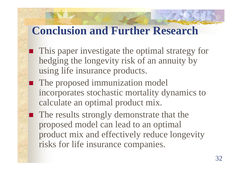### **Conclusion and Further Research**

 $\mathcal{L}(\mathcal{L})$ 

- This paper investigate the optimal strategy for hedging the longevity risk of an annuity by using life insurance products.
- **The proposed immunization model** incorporates stochastic mortality dynamics to calculate an optimal product mix.

■ The results strongly demonstrate that the proposed model can lead to an optimal product mix and effectively reduce longevity risks for life insurance companies.